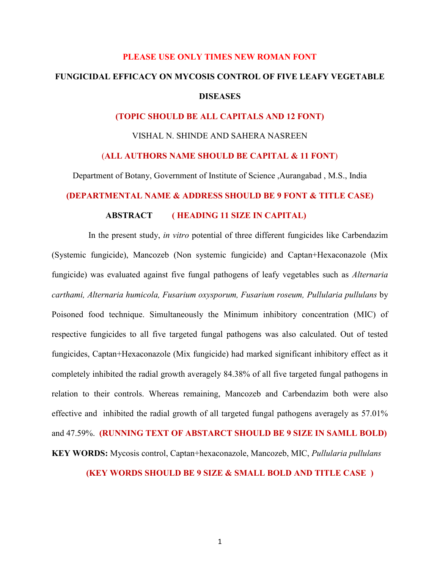### **PLEASE USE ONLY TIMES NEW ROMAN FONT**

# **FUNGICIDAL EFFICACY ON MYCOSIS CONTROL OF FIVE LEAFY VEGETABLE DISEASES**

# **(TOPIC SHOULD BE ALL CAPITALS AND 12 FONT)**

VISHAL N. SHINDE AND SAHERA NASREEN

# (**ALL AUTHORS NAME SHOULD BE CAPITAL & 11 FONT**)

Department of Botany, Government of Institute of Science ,Aurangabad , M.S., India

### **(DEPARTMENTAL NAME & ADDRESS SHOULD BE 9 FONT & TITLE CASE)**

# **ABSTRACT ( HEADING 11 SIZE IN CAPITAL)**

 In the present study, *in vitro* potential of three different fungicides like Carbendazim (Systemic fungicide), Mancozeb (Non systemic fungicide) and Captan+Hexaconazole (Mix fungicide) was evaluated against five fungal pathogens of leafy vegetables such as *Alternaria carthami, Alternaria humicola, Fusarium oxysporum, Fusarium roseum, Pullularia pullulans* by Poisoned food technique. Simultaneously the Minimum inhibitory concentration (MIC) of respective fungicides to all five targeted fungal pathogens was also calculated. Out of tested fungicides, Captan+Hexaconazole (Mix fungicide) had marked significant inhibitory effect as it completely inhibited the radial growth averagely 84.38% of all five targeted fungal pathogens in relation to their controls. Whereas remaining, Mancozeb and Carbendazim both were also effective and inhibited the radial growth of all targeted fungal pathogens averagely as 57.01% and 47.59%. **(RUNNING TEXT OF ABSTARCT SHOULD BE 9 SIZE IN SAMLL BOLD) KEY WORDS:** Mycosis control, Captan+hexaconazole, Mancozeb, MIC, *Pullularia pullulans*

# **(KEY WORDS SHOULD BE 9 SIZE & SMALL BOLD AND TITLE CASE )**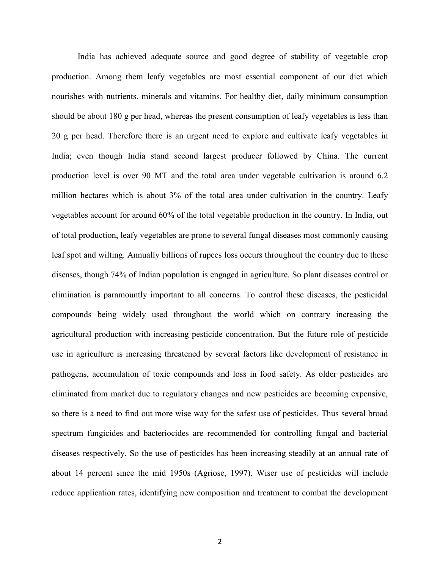India has achieved adequate source and good degree of stability of vegetable crop production. Among them leafy vegetables are most essential component of our diet which nourishes with nutrients, minerals and vitamins. For healthy diet, daily minimum consumption should be about 180 g per head, whereas the present consumption of leafy vegetables is less than 20 g per head. Therefore there is an urgent need to explore and cultivate leafy vegetables in India; even though India stand second largest producer followed by China. The current production level is over 90 MT and the total area under vegetable cultivation is around 6.2 million hectares which is about 3% of the total area under cultivation in the country. Leafy vegetables account for around 60% of the total vegetable production in the country. In India, out of total production, leafy vegetables are prone to several fungal diseases most commonly causing leaf spot and wilting. Annually billions of rupees loss occurs throughout the country due to these diseases, though 74% of Indian population is engaged in agriculture. So plant diseases control or elimination is paramountly important to all concerns. To control these diseases, the pesticidal compounds being widely used throughout the world which on contrary increasing the agricultural production with increasing pesticide concentration. But the future role of pesticide use in agriculture is increasing threatened by several factors like development of resistance in pathogens, accumulation of toxic compounds and loss in food safety. As older pesticides are eliminated from market due to regulatory changes and new pesticides are becoming expensive, so there is a need to find out more wise way for the safest use of pesticides. Thus several broad spectrum fungicides and bacteriocides are recommended for controlling fungal and bacterial diseases respectively. So the use of pesticides has been increasing steadily at an annual rate of about 14 percent since the mid 1950s (Agriose, 1997). Wiser use of pesticides will include reduce application rates, identifying new composition and treatment to combat the development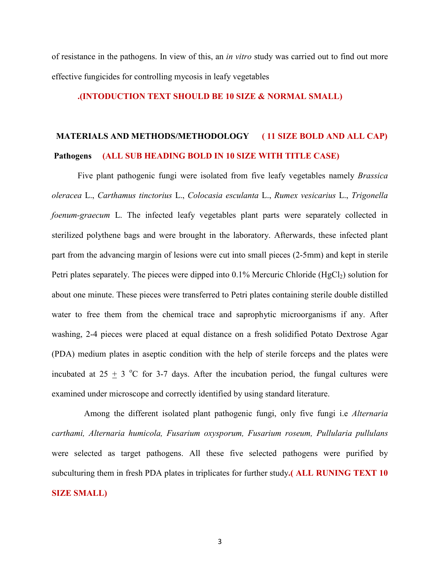of resistance in the pathogens. In view of this, an *in vitro* study was carried out to find out more effective fungicides for controlling mycosis in leafy vegetables

# **.(INTODUCTION TEXT SHOULD BE 10 SIZE & NORMAL SMALL)**

# **MATERIALS AND METHODS/METHODOLOGY ( 11 SIZE BOLD AND ALL CAP) Pathogens (ALL SUB HEADING BOLD IN 10 SIZE WITH TITLE CASE)**

 Five plant pathogenic fungi were isolated from five leafy vegetables namely *Brassica oleracea* L., *Carthamus tinctorius* L., *Colocasia esculanta* L., *Rumex vesicarius* L., *Trigonella foenum-graecum* L. The infected leafy vegetables plant parts were separately collected in sterilized polythene bags and were brought in the laboratory. Afterwards, these infected plant part from the advancing margin of lesions were cut into small pieces (2-5mm) and kept in sterile Petri plates separately. The pieces were dipped into  $0.1\%$  Mercuric Chloride (HgCl<sub>2</sub>) solution for about one minute. These pieces were transferred to Petri plates containing sterile double distilled water to free them from the chemical trace and saprophytic microorganisms if any. After washing, 2-4 pieces were placed at equal distance on a fresh solidified Potato Dextrose Agar (PDA) medium plates in aseptic condition with the help of sterile forceps and the plates were incubated at  $25 + 3$  °C for 3-7 days. After the incubation period, the fungal cultures were examined under microscope and correctly identified by using standard literature.

 Among the different isolated plant pathogenic fungi, only five fungi i.e *Alternaria carthami, Alternaria humicola, Fusarium oxysporum, Fusarium roseum, Pullularia pullulans*  were selected as target pathogens. All these five selected pathogens were purified by subculturing them in fresh PDA plates in triplicates for further study**.( ALL RUNING TEXT 10 SIZE SMALL)**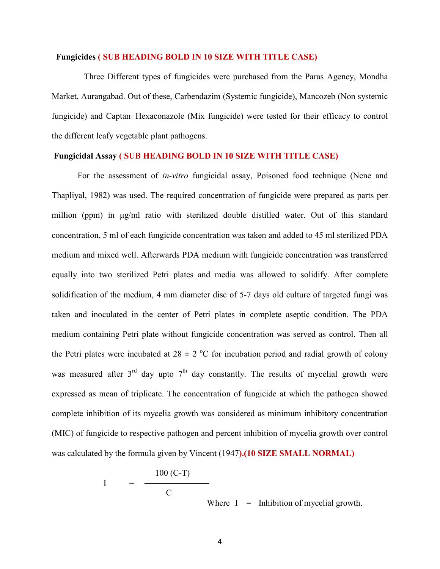# **Fungicides ( SUB HEADING BOLD IN 10 SIZE WITH TITLE CASE)**

 Three Different types of fungicides were purchased from the Paras Agency, Mondha Market, Aurangabad. Out of these, Carbendazim (Systemic fungicide), Mancozeb (Non systemic fungicide) and Captan+Hexaconazole (Mix fungicide) were tested for their efficacy to control the different leafy vegetable plant pathogens.

# **Fungicidal Assay ( SUB HEADING BOLD IN 10 SIZE WITH TITLE CASE)**

For the assessment of *in-vitro* fungicidal assay, Poisoned food technique (Nene and Thapliyal, 1982) was used. The required concentration of fungicide were prepared as parts per million (ppm) in µg/ml ratio with sterilized double distilled water. Out of this standard concentration, 5 ml of each fungicide concentration was taken and added to 45 ml sterilized PDA medium and mixed well. Afterwards PDA medium with fungicide concentration was transferred equally into two sterilized Petri plates and media was allowed to solidify. After complete solidification of the medium, 4 mm diameter disc of 5-7 days old culture of targeted fungi was taken and inoculated in the center of Petri plates in complete aseptic condition. The PDA medium containing Petri plate without fungicide concentration was served as control. Then all the Petri plates were incubated at  $28 \pm 2$  °C for incubation period and radial growth of colony was measured after  $3<sup>rd</sup>$  day upto  $7<sup>th</sup>$  day constantly. The results of mycelial growth were expressed as mean of triplicate. The concentration of fungicide at which the pathogen showed complete inhibition of its mycelia growth was considered as minimum inhibitory concentration (MIC) of fungicide to respective pathogen and percent inhibition of mycelia growth over control was calculated by the formula given by Vincent (1947**).(10 SIZE SMALL NORMAL)**

$$
I = \frac{100 (C-T)}{C}
$$

Where  $I = Inhibition of mycelial growth.$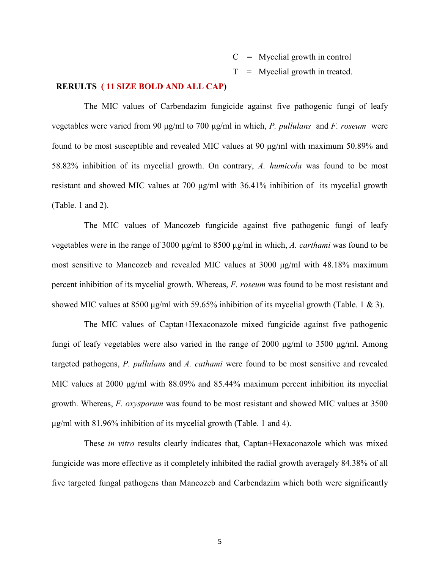$C = M$ ycelial growth in control

 $T =$  Mycelial growth in treated.

# **RERULTS ( 11 SIZE BOLD AND ALL CAP)**

The MIC values of Carbendazim fungicide against five pathogenic fungi of leafy vegetables were varied from 90 µg/ml to 700 µg/ml in which, *P. pullulans* and *F. roseum* were found to be most susceptible and revealed MIC values at 90 µg/ml with maximum 50.89% and 58.82% inhibition of its mycelial growth. On contrary, *A. humicola* was found to be most resistant and showed MIC values at 700 µg/ml with 36.41% inhibition of its mycelial growth (Table. 1 and 2).

 The MIC values of Mancozeb fungicide against five pathogenic fungi of leafy vegetables were in the range of 3000 µg/ml to 8500 µg/ml in which, *A. carthami* was found to be most sensitive to Mancozeb and revealed MIC values at 3000 µg/ml with 48.18% maximum percent inhibition of its mycelial growth. Whereas, *F. roseum* was found to be most resistant and showed MIC values at 8500  $\mu$ g/ml with 59.65% inhibition of its mycelial growth (Table. 1 & 3).

 The MIC values of Captan+Hexaconazole mixed fungicide against five pathogenic fungi of leafy vegetables were also varied in the range of 2000  $\mu$ g/ml to 3500  $\mu$ g/ml. Among targeted pathogens, *P. pullulans* and *A. cathami* were found to be most sensitive and revealed MIC values at 2000  $\mu$ g/ml with 88.09% and 85.44% maximum percent inhibition its mycelial growth. Whereas, *F. oxysporum* was found to be most resistant and showed MIC values at 3500 µg/ml with 81.96% inhibition of its mycelial growth (Table. 1 and 4).

 These *in vitro* results clearly indicates that, Captan+Hexaconazole which was mixed fungicide was more effective as it completely inhibited the radial growth averagely 84.38% of all five targeted fungal pathogens than Mancozeb and Carbendazim which both were significantly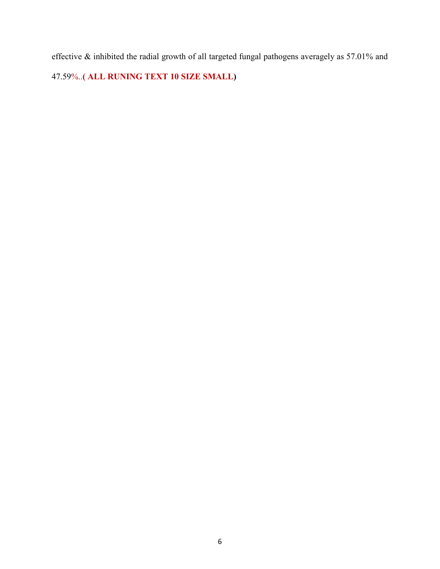effective & inhibited the radial growth of all targeted fungal pathogens averagely as 57.01% and 47.59%..**( ALL RUNING TEXT 10 SIZE SMALL)**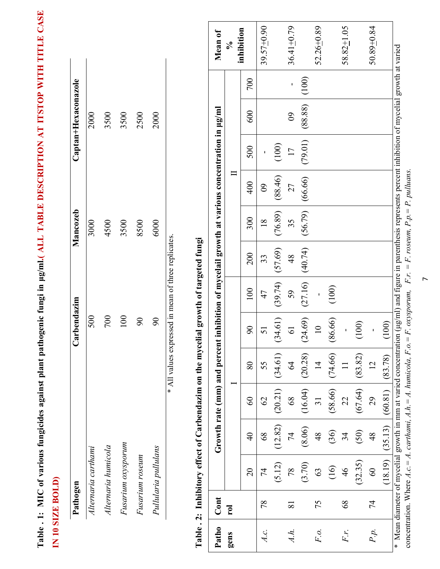| Pathogen             | Carbendazim | Mancozeb | Captan+Hexaconazole |
|----------------------|-------------|----------|---------------------|
| Alternaria carthami  | 500         | 3000     | 2000                |
| Alternaria humicola  | 700         | 4500     | 3500                |
| Fusarium oxysporum   | 100         | 3500     | 3500                |
| Fusarium roseum      | $\infty$    | 8500     | 2500                |
| Pullularia pullulans | $\infty$    | 6000     | 2000                |

|       |                 | Table . 2: Inhibitory effect of Carbendazim on the mycelial growth of targeted fungi                                                                                                                                                                                                              |               |                 |                                                                                              |                 |         |         |                 |                |                |          |       |                      |
|-------|-----------------|---------------------------------------------------------------------------------------------------------------------------------------------------------------------------------------------------------------------------------------------------------------------------------------------------|---------------|-----------------|----------------------------------------------------------------------------------------------|-----------------|---------|---------|-----------------|----------------|----------------|----------|-------|----------------------|
| Patho | Cont            |                                                                                                                                                                                                                                                                                                   |               |                 | Growth rate (mm) and percent inhibition of mycelail growth at various concentration in µg/ml |                 |         |         |                 |                |                |          |       | Mean of              |
| gens  | <u>For</u>      |                                                                                                                                                                                                                                                                                                   |               |                 |                                                                                              |                 |         |         |                 |                |                |          |       | $\frac{1}{\sqrt{6}}$ |
|       |                 | $\overline{20}$                                                                                                                                                                                                                                                                                   | $\frac{1}{4}$ | $\infty$        | 80                                                                                           | $\delta$        | 100     | 200     | 300             | 400            | 500            | 600      | 700   | inhibition           |
| A.C.  | 78              | 74                                                                                                                                                                                                                                                                                                | $\frac{8}{8}$ | $\mathcal{S}$   | 55                                                                                           | 51              | 47      | 33      | $\overline{18}$ | $\overline{6}$ |                |          |       | 39.57+0.90           |
|       |                 | (5.12)                                                                                                                                                                                                                                                                                            | (12.82)       | (20.21)         | (34.61)                                                                                      | (34.61)         | (39.74) | (57.69) | (76.89)         | (88.46)        | (100)          |          |       |                      |
| Àh.   | $\overline{81}$ | 78                                                                                                                                                                                                                                                                                                | 74            | 68              | $\mathcal{L}$                                                                                | $\overline{6}$  | 59      | 48      | 35              | 27             | $\overline{1}$ | $\infty$ | ı     | $36.41 + 0.79$       |
|       |                 | (3.70)                                                                                                                                                                                                                                                                                            | (8.06)        | (16.04)         | (20.28)                                                                                      | (24.69)         | (27.16) | (40.74) | (56.79)         | (66.66)        | (79.01)        | (88.88)  | (100) |                      |
| F.o.  | 75              | 63                                                                                                                                                                                                                                                                                                | $\frac{8}{3}$ | $\overline{31}$ | $\overline{4}$                                                                               | $\overline{10}$ |         |         |                 |                |                |          |       | $52.26 + 0.89$       |
|       |                 | $\left( \frac{1}{2} \right)$                                                                                                                                                                                                                                                                      | (36)          | (58.66)         | (74.66)                                                                                      | (86.66)         | (100)   |         |                 |                |                |          |       |                      |
| Fr.   | $\frac{8}{3}$   | $\frac{4}{6}$                                                                                                                                                                                                                                                                                     | 34            | 22              | $\frac{1}{1}$                                                                                |                 |         |         |                 |                |                |          |       | $58.82 + 1.05$       |
|       |                 | (32.35)                                                                                                                                                                                                                                                                                           | (50)          | (67.64)         | (83.82)                                                                                      | (100)           |         |         |                 |                |                |          |       |                      |
| P.p.  | 74              | $\infty$                                                                                                                                                                                                                                                                                          | $\frac{8}{4}$ | 29              | $\overline{2}$                                                                               |                 |         |         |                 |                |                |          |       | $50.89 + 0.84$       |
|       |                 | (18.19)                                                                                                                                                                                                                                                                                           | (35.13)       | (60.81)         | (83.78)                                                                                      | (100)           |         |         |                 |                |                |          |       |                      |
|       |                 | * Mean diameter of mycelial growth in mm at varied concentration (µg/ml) and figure in parenthesis represents percent inhibition of mycelial growth at varied<br>concentration. Where $A.c = A$ . carthami, $A.h = A$ . humicola, $F.o = F.$ oxysporum, $F.r. = F.$ roseum, $P.p. = P.$ pulluans. |               |                 |                                                                                              |                 |         |         |                 |                |                |          |       |                      |
|       |                 |                                                                                                                                                                                                                                                                                                   |               |                 |                                                                                              |                 |         |         |                 |                |                |          |       |                      |

 $\overline{r}$ 

# **Table . 1: MIC of various fungicides against plant pathogenic fungi in µg/ml.( ALL TABLE DESCRIPTION AT ITSTOP WITH TITLE CASE**  Table . 1: MIC of various fungicides against plant pathogenic fungi in ug/ml.(ALL TABLE DESCRIPTION AT ITSTOP WITH TITLE CASE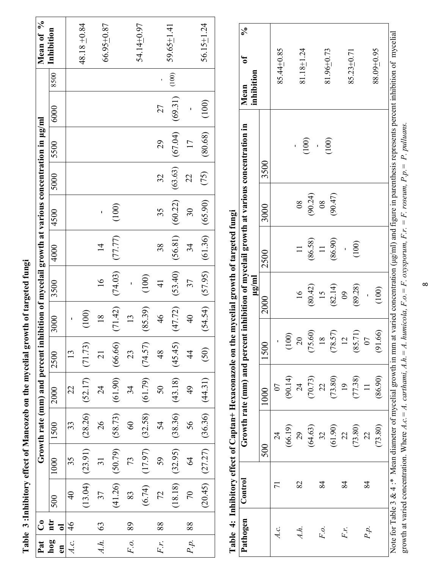| Pat                 | ්                           |               |                               |         | Growth rate (mm) and percent inhibition of mycelail growth at various concentration in µg/ml |                 |                |                                         |                |                 |           |                 |         |       | Mean of %        |
|---------------------|-----------------------------|---------------|-------------------------------|---------|----------------------------------------------------------------------------------------------|-----------------|----------------|-----------------------------------------|----------------|-----------------|-----------|-----------------|---------|-------|------------------|
| hog<br>$\mathbf{E}$ | ntr<br>$\overline{\bullet}$ | 500           | 1000                          | 1500    | 2000                                                                                         | 2500            | 3000           | 3500                                    | 4000           | 4500            | 5000 5500 |                 | 6000    | 8500  | Inhibition       |
|                     | $\frac{4}{6}$               | $\frac{1}{4}$ | 35                            | 33      | 22                                                                                           | 13              |                |                                         |                |                 |           |                 |         |       |                  |
|                     |                             | (13.04)       | (23.91)                       | (28.26) | (52.17)                                                                                      | (71.73)         | (100)          |                                         |                |                 |           |                 |         |       | 48.18 $\pm$ 0.84 |
| $4.h.$ 63           |                             | 37            | $\overline{31}$               | 26      | $\overline{c}$                                                                               | $\overline{21}$ | $\frac{8}{18}$ | $\overline{16}$                         | $\overline{4}$ |                 |           |                 |         |       | 66.95+0.87       |
|                     |                             | (41.26)       | (50.79)                       | (58.73) | (61.90)                                                                                      | (66.66)         | (71.42)        | 74.03                                   | (77.77)        | (100)           |           |                 |         |       |                  |
| $F.o.$ 1            | 89                          | 83            | 73                            | 60      | 34                                                                                           | 23              | 13             |                                         |                |                 |           |                 |         |       |                  |
|                     |                             | (6.74)        | (17.97)                       | (32.58) | (61.79)                                                                                      | (74.57)         | (85.39)        | (100)                                   |                |                 |           |                 |         |       | 54.14+0.97       |
| Fr.                 | 88                          | 72            | 59                            | 54      | 50                                                                                           | $\frac{8}{3}$   | 46             | $\frac{1}{4}$                           | 38             | 35              | 32        | 29              | 27      |       |                  |
|                     |                             | (18.18)       | (32.95)                       | (38.36) | (43.18)                                                                                      | (45.45)         | (47.72)        | (53.40)                                 | (56.81)        | (60.22)         | (63.63)   | (67.04)         | (69.31) | (100) | $59.65 \pm 1.41$ |
| $P.p.$   88         |                             | 70            | Z                             | 56      | $\frac{4}{9}$                                                                                | र्य             | $\frac{40}{1}$ | 37                                      | 34             | 30 <sub>o</sub> | 22        | $\overline{17}$ |         |       |                  |
|                     |                             |               | $(20.45)$ $(27.27)$ $(36.36)$ |         | (44.31)                                                                                      | (50)            |                | $(54.54)$ $(57.95)$ $(61.36)$ $(65.90)$ |                |                 | (75)      | 80.68           | (100)   |       | $56.15 + 1.24$   |

Table 3: Inhibitory effect of Mancozeb on the mycelial growth of targeted fungi **Table 3 :Inhibitory effect of Mancozeb on the mycelial growth of targeted fungi** 

**Table 4: Inhibitory effect of Captan+ Hexaconazole on the mycelial growth of targeted fungi**  Table 4: Inhibitory effect of Captan+ Hexaconazole on the mycelial growth of targeted fungi

| Pathogen | Control |                                                                |                 |                |                |          |               | Growth rate (mm) and percent inhibition of mycelail growth at various concentration in              | ซ<br>Mean      | న్ౖ |
|----------|---------|----------------------------------------------------------------|-----------------|----------------|----------------|----------|---------------|-----------------------------------------------------------------------------------------------------|----------------|-----|
|          |         |                                                                |                 |                | $\mu$ g/ml     |          |               |                                                                                                     | inhibition     |     |
|          |         | 500                                                            |                 | 1500           | 2000           | 2500     | 3000          | 3500                                                                                                |                |     |
|          |         | 24                                                             | 07              | ı              |                |          |               |                                                                                                     | 85.44+0.85     |     |
|          |         | (66.19)                                                        | (90.14)         | (100)          |                |          |               |                                                                                                     |                |     |
| À.h.     | 82      | 29                                                             | $\overline{24}$ | $\overline{0}$ | $\overline{6}$ |          | $\infty$      |                                                                                                     | 81.18+1.24     |     |
|          |         | (64.63)                                                        | (70.73)         | (75.60)        | (80.42)        | (86.58)  | (90.24)       | (100)                                                                                               |                |     |
| F.o.     | 84      | 32                                                             | 23              | $\infty$       | <b>15</b>      | $\equiv$ | $\frac{8}{2}$ |                                                                                                     |                |     |
|          |         | (61.90)                                                        | (73.80)         | (78.57)        | (82.14)        | (86.90)  | (90.47)       | (100)                                                                                               | 81.96+0.73     |     |
| Fr.      | 84      | $\mathfrak{Z}$                                                 | $\overline{0}$  |                | $\infty$       |          |               |                                                                                                     |                |     |
|          |         | (73.80)                                                        | (77.38)         | (85.71)        | (89.28)        | (100)    |               |                                                                                                     | $85.23 + 0.71$ |     |
| P.p.     | 84      | 22                                                             |                 |                |                |          |               |                                                                                                     |                |     |
|          |         | (73.80)                                                        | (86.90)         | (91.66)        | (100)          |          |               |                                                                                                     | 88.09+0.95     |     |
|          |         | Note for Table 3 & 4 :* Mean diameter of mycelial growth in mm |                 |                |                |          |               | at varied concentration (µg/ml) and figure in parenthesis represents percent inhibition of mycelial |                |     |

growth at varied concentration. Where A.c. = A. caritami, A.h. = A. humicola, F.o. = F. oxysporum, F.r. = F. roseum, P.p. = P. pulluans. growth at varied concentration. Where *A.c.*= *A. carthami, A.h.*= *A. humicola, F.o.*= *F. oxysporum, F.r.* = *F. roseum, P.p.* = *P. pulluans.* 

 $\infty$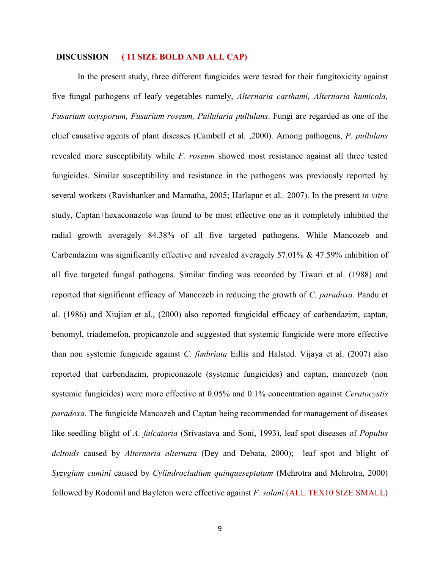# **DISCUSSION ( 11 SIZE BOLD AND ALL CAP)**

 In the present study, three different fungicides were tested for their fungitoxicity against five fungal pathogens of leafy vegetables namely, *Alternaria carthami, Alternaria humicola, Fusarium oxysporum, Fusarium roseum, Pullularia pullulans*. Fungi are regarded as one of the chief causative agents of plant diseases (Cambell et al*.* ,2000). Among pathogens, *P. pullulans* revealed more susceptibility while *F. roseum* showed most resistance against all three tested fungicides. Similar susceptibility and resistance in the pathogens was previously reported by several workers (Ravishanker and Mamatha, 2005; Harlapur et al*.,* 2007). In the present *in vitro* study, Captan+hexaconazole was found to be most effective one as it completely inhibited the radial growth averagely 84.38% of all five targeted pathogens. While Mancozeb and Carbendazim was significantly effective and revealed averagely 57.01% & 47.59% inhibition of all five targeted fungal pathogens. Similar finding was recorded by Tiwari et al. (1988) and reported that significant efficacy of Mancozeb in reducing the growth of *C. paradoxa*. Pandu et al. (1986) and Xiujian et al., (2000) also reported fungicidal efficacy of carbendazim, captan, benomyl, triademefon, propicanzole and suggested that systemic fungicide were more effective than non systemic fungicide against *C. fimbriata* Eillis and Halsted. Vijaya et al. (2007) also reported that carbendazim, propiconazole (systemic fungicides) and captan, mancozeb (non systemic fungicides) were more effective at 0.05% and 0.1% concentration against *Ceratocystis paradoxa.* The fungicide Mancozeb and Captan being recommended for management of diseases like seedling blight of *A. falcataria* (Srivastava and Soni, 1993), leaf spot diseases of *Populus deltoids* caused by *Alternaria alternata* (Dey and Debata, 2000); leaf spot and blight of *Syzygium cumini* caused by *Cylindrocladium quinqueseptatum* (Mehrotra and Mehrotra, 2000) followed by Rodomil and Bayleton were effective against *F. solani*.(ALL TEX10 SIZE SMALL)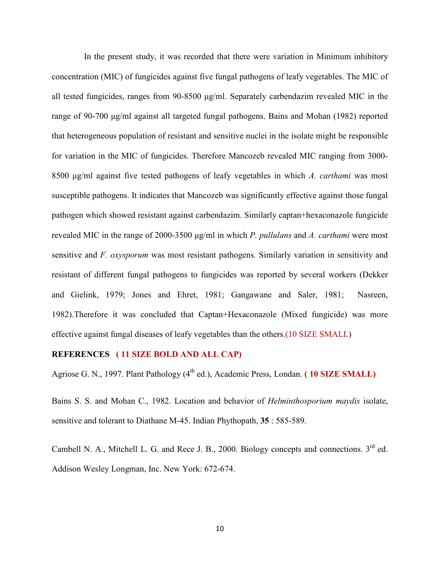In the present study, it was recorded that there were variation in Minimum inhibitory concentration (MIC) of fungicides against five fungal pathogens of leafy vegetables. The MIC of all tested fungicides, ranges from 90-8500 µg/ml. Separately carbendazim revealed MIC in the range of 90-700  $\mu$ g/ml against all targeted fungal pathogens. Bains and Mohan (1982) reported that heterogeneous population of resistant and sensitive nuclei in the isolate might be responsible for variation in the MIC of fungicides. Therefore Mancozeb revealed MIC ranging from 3000- 8500 µg/ml against five tested pathogens of leafy vegetables in which *A. carthami* was most susceptible pathogens. It indicates that Mancozeb was significantly effective against those fungal pathogen which showed resistant against carbendazim. Similarly captan+hexaconazole fungicide revealed MIC in the range of 2000-3500 µg/ml in which *P. pullulans* and *A. carthami* were most sensitive and *F. oxysporum* was most resistant pathogens*.* Similarly variation in sensitivity and resistant of different fungal pathogens to fungicides was reported by several workers (Dekker and Gielink, 1979; Jones and Ehret, 1981; Gangawane and Saler, 1981; Nasreen, 1982).Therefore it was concluded that Captan+Hexaconazole (Mixed fungicide) was more effective against fungal diseases of leafy vegetables than the others.(10 SIZE SMALL)

# **REFERENCES ( 11 SIZE BOLD AND ALL CAP)**

Agriose G. N., 1997. Plant Pathology (4<sup>th</sup> ed.), Academic Press, Londan. **(10 SIZE SMALL)** 

Bains S. S. and Mohan C., 1982. Location and behavior of *Helminthosporium maydis* isolate, sensitive and tolerant to Diathane M-45. Indian Phythopath, **35** : 585-589.

Cambell N. A., Mitchell L. G. and Rece J. B., 2000. Biology concepts and connections.  $3^{rd}$  ed. Addison Wesley Longman, Inc. New York: 672-674.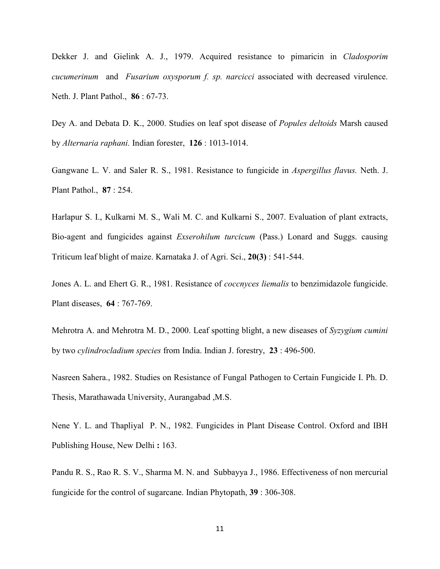Dekker J. and Gielink A. J., 1979. Acquired resistance to pimaricin in *Cladosporim cucumerinum* and *Fusarium oxysporum f. sp. narcicci* associated with decreased virulence. Neth. J. Plant Pathol., **86** : 67-73.

Dey A. and Debata D. K., 2000. Studies on leaf spot disease of *Popules deltoids* Marsh caused by *Alternaria raphani.* Indian forester, **126** : 1013-1014.

Gangwane L. V. and Saler R. S., 1981. Resistance to fungicide in *Aspergillus flavus.* Neth. J. Plant Pathol., **87** : 254.

Harlapur S. I., Kulkarni M. S., Wali M. C. and Kulkarni S., 2007. Evaluation of plant extracts, Bio-agent and fungicides against *Exserohilum turcicum* (Pass.) Lonard and Suggs. causing Triticum leaf blight of maize. Karnataka J. of Agri. Sci., **20(3)** : 541-544.

Jones A. L. and Ehert G. R., 1981. Resistance of *coccnyces liemalis* to benzimidazole fungicide. Plant diseases, **64** : 767-769.

Mehrotra A. and Mehrotra M. D., 2000. Leaf spotting blight, a new diseases of *Syzygium cumini*  by two *cylindrocladium species* from India. Indian J. forestry, **23** : 496-500.

Nasreen Sahera., 1982. Studies on Resistance of Fungal Pathogen to Certain Fungicide I. Ph. D. Thesis, Marathawada University, Aurangabad ,M.S.

Nene Y. L. and Thapliyal P. N., 1982. Fungicides in Plant Disease Control. Oxford and IBH Publishing House, New Delhi **:** 163.

Pandu R. S., Rao R. S. V., Sharma M. N. and Subbayya J., 1986. Effectiveness of non mercurial fungicide for the control of sugarcane. Indian Phytopath, **39** : 306-308.

11